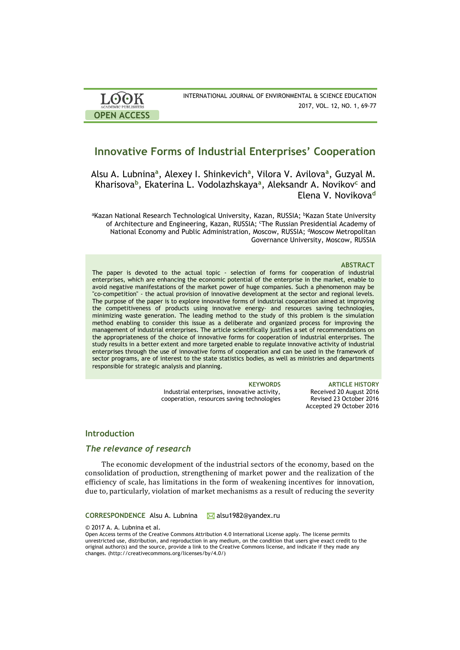| <b>LOOK</b>         | INTERNATIONAL JOURNAL OF ENVIRONMENTAL & SCIENCE EDUCATION |
|---------------------|------------------------------------------------------------|
| ACADEMIC PUBLISHERS | 2017, VOL. 12, NO. 1, 69-77                                |
| <b>OPEN ACCESS</b>  |                                                            |

# **Innovative Forms of Industrial Enterprises' Cooperation**

Alsu A. Lubnina**<sup>a</sup>** , Alexey I. Shinkevich**<sup>a</sup>** , Vilora V. Avilova**<sup>a</sup>** , Guzyal M. Kharisova**<sup>b</sup>** , Ekaterina L. Vodolazhskaya**<sup>a</sup>** , Aleksandr A. Novikov**<sup>c</sup>** and Elena V. Novikova**<sup>d</sup>**

aKazan National Research Technological University, Kazan, RUSSIA; <sup>b</sup>Kazan State University of Architecture and Engineering, Kazan, RUSSIA; 'The Russian Presidential Academy of National Economy and Public Administration, Moscow, RUSSIA; <sup>d</sup>Moscow Metropolitan Governance University, Moscow, RUSSIA

#### **ABSTRACT**

The paper is devoted to the actual topic - selection of forms for cooperation of industrial enterprises, which are enhancing the economic potential of the enterprise in the market, enable to avoid negative manifestations of the market power of huge companies. Such a phenomenon may be "co-competition" - the actual provision of innovative development at the sector and regional levels. The purpose of the paper is to explore innovative forms of industrial cooperation aimed at improving the competitiveness of products using innovative energy- and resources saving technologies, minimizing waste generation. The leading method to the study of this problem is the simulation method enabling to consider this issue as a deliberate and organized process for improving the management of industrial enterprises. The article scientifically justifies a set of recommendations on the appropriateness of the choice of innovative forms for cooperation of industrial enterprises. The study results in a better extent and more targeted enable to regulate innovative activity of industrial enterprises through the use of innovative forms of cooperation and can be used in the framework of sector programs, are of interest to the state statistics bodies, as well as ministries and departments responsible for strategic analysis and planning.

Industrial enterprises, innovative activity, cooperation, resources saving technologies

**KEYWORDS ARTICLE HISTORY** Received 20 August 2016 Revised 23 October 2016 Accepted 29 October 2016

### **Introduction**

## *The relevance of research*

The economic development of the industrial sectors of the economy, based on the consolidation of production, strengthening of market power and the realization of the efficiency of scale, has limitations in the form of weakening incentives for innovation, due to, particularly, violation of market mechanisms as a result of reducing the severity

#### **CORRESPONDENCE** Alsu A. Lubnina **M** alsu1982@yandex.ru

© 2017 A. A. Lubnina et al.

Open Access terms of the Creative Commons Attribution 4.0 International License apply. The license permits unrestricted use, distribution, and reproduction in any medium, on the condition that users give exact credit to the original author(s) and the source, provide a link to the Creative Commons license, and indicate if they made any changes. (http://creativecommons.org/licenses/by/4.0/)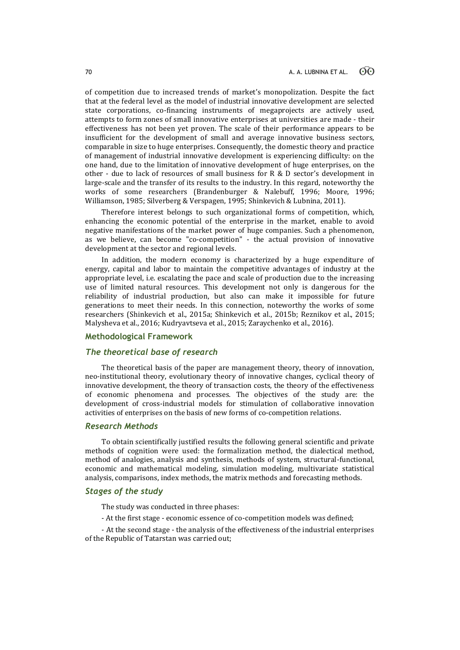of competition due to increased trends of market's monopolization. Despite the fact that at the federal level as the model of industrial innovative development are selected state corporations, co-financing instruments of megaprojects are actively used, attempts to form zones of small innovative enterprises at universities are made - their effectiveness has not been yet proven. The scale of their performance appears to be insufficient for the development of small and average innovative business sectors, comparable in size to huge enterprises. Consequently, the domestic theory and practice of management of industrial innovative development is experiencing difficulty: on the one hand, due to the limitation of innovative development of huge enterprises, on the other - due to lack of resources of small business for R & D sector's development in large-scale and the transfer of its results to the industry. In this regard, noteworthy the works of some researchers (Brandenburger & Nalebuff, 1996; Moore, 1996; Williamson, 1985; Silverberg & Verspagen, 1995; Shinkevich & Lubnina, 2011).

Therefore interest belongs to such organizational forms of competition, which, enhancing the economic potential of the enterprise in the market, enable to avoid negative manifestations of the market power of huge companies. Such a phenomenon, as we believe, can become "co-competition" - the actual provision of innovative development at the sector and regional levels.

In addition, the modern economy is characterized by a huge expenditure of energy, capital and labor to maintain the competitive advantages of industry at the appropriate level, i.e. escalating the pace and scale of production due to the increasing use of limited natural resources. This development not only is dangerous for the reliability of industrial production, but also can make it impossible for future generations to meet their needs. In this connection, noteworthy the works of some researchers (Shinkevich et al., 2015a; Shinkevich et al., 2015b; Reznikov et al., 2015; Malysheva et al., 2016; Kudryavtseva et al., 2015; Zaraychenko et al., 2016).

## **Methodological Framework**

## *The theoretical base of research*

The theoretical basis of the paper are management theory, theory of innovation, neo-institutional theory, evolutionary theory of innovative changes, cyclical theory of innovative development, the theory of transaction costs, the theory of the effectiveness of economic phenomena and processes. The objectives of the study are: the development of cross-industrial models for stimulation of collaborative innovation activities of enterprises on the basis of new forms of co-competition relations.

### *Research Methods*

To obtain scientifically justified results the following general scientific and private methods of cognition were used: the formalization method, the dialectical method, method of analogies, analysis and synthesis, methods of system, structural-functional, economic and mathematical modeling, simulation modeling, multivariate statistical analysis, comparisons, index methods, the matrix methods and forecasting methods.

## *Stages of the study*

The study was conducted in three phases:

- At the first stage - economic essence of co-competition models was defined;

- At the second stage - the analysis of the effectiveness of the industrial enterprises of the Republic of Tatarstan was carried out;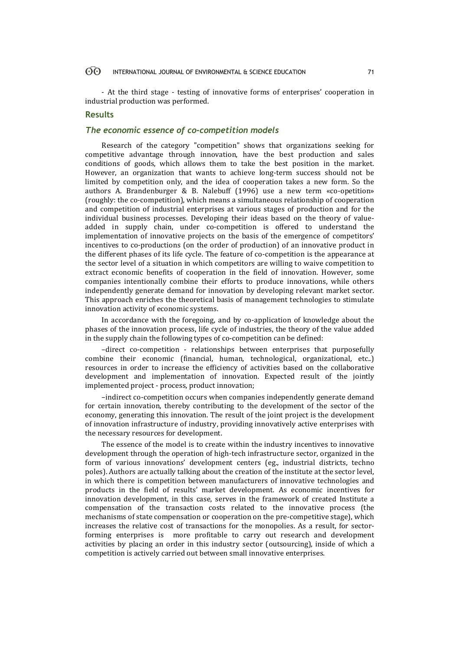#### $\Theta$ INTERNATIONAL JOURNAL OF ENVIRONMENTAL & SCIENCE EDUCATION 71

- At the third stage - testing of innovative forms of enterprises' cooperation in industrial production was performed.

## **Results**

## *The economic essence of co-competition models*

Research of the category "competition" shows that organizations seeking for competitive advantage through innovation, have the best production and sales conditions of goods, which allows them to take the best position in the market. However, an organization that wants to achieve long-term success should not be limited by competition only, and the idea of cooperation takes a new form. So the authors A. Brandenburger & B. Nalebuff (1996) use a new term «co-opetition» (roughly: the co-competition), which means a simultaneous relationship of cooperation and competition of industrial enterprises at various stages of production and for the individual business processes. Developing their ideas based on the theory of valueadded in supply chain, under co-competition is offered to understand the implementation of innovative projects on the basis of the emergence of competitors' incentives to co-productions (on the order of production) of an innovative product in the different phases of its life cycle. The feature of co-competition is the appearance at the sector level of a situation in which competitors are willing to waive competition to extract economic benefits of cooperation in the field of innovation. However, some companies intentionally combine their efforts to produce innovations, while others independently generate demand for innovation by developing relevant market sector. This approach enriches the theoretical basis of management technologies to stimulate innovation activity of economic systems.

In accordance with the foregoing, and by co-application of knowledge about the phases of the innovation process, life cycle of industries, the theory of the value added in the supply chain the following types of co-competition can be defined:

–direct co-competition - relationships between enterprises that purposefully combine their economic (financial, human, technological, organizational, etc..) resources in order to increase the efficiency of activities based on the collaborative development and implementation of innovation. Expected result of the jointly implemented project - process, product innovation;

–indirect co-competition occurs when companies independently generate demand for certain innovation, thereby contributing to the development of the sector of the economy, generating this innovation. The result of the joint project is the development of innovation infrastructure of industry, providing innovatively active enterprises with the necessary resources for development.

The essence of the model is to create within the industry incentives to innovative development through the operation of high-tech infrastructure sector, organized in the form of various innovations' development centers (eg., industrial districts, techno poles). Authors are actually talking about the creation of the institute at the sector level, in which there is competition between manufacturers of innovative technologies and products in the field of results' market development. As economic incentives for innovation development, in this case, serves in the framework of created Institute a compensation of the transaction costs related to the innovative process (the mechanisms of state compensation or cooperation on the pre-competitive stage), which increases the relative cost of transactions for the monopolies. As a result, for sectorforming enterprises is more profitable to carry out research and development activities by placing an order in this industry sector (outsourcing), inside of which a competition is actively carried out between small innovative enterprises.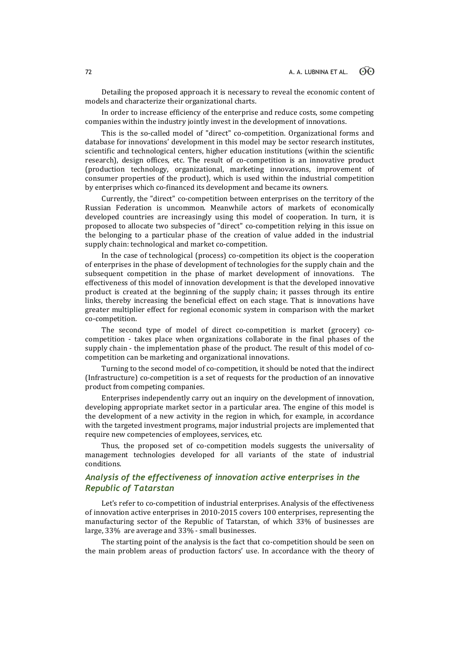Detailing the proposed approach it is necessary to reveal the economic content of models and characterize their organizational charts.

In order to increase efficiency of the enterprise and reduce costs, some competing companies within the industry jointly invest in the development of innovations.

This is the so-called model of "direct" co-competition. Organizational forms and database for innovations' development in this model may be sector research institutes, scientific and technological centers, higher education institutions (within the scientific research), design offices, etc. The result of co-competition is an innovative product (production technology, organizational, marketing innovations, improvement of consumer properties of the product), which is used within the industrial competition by enterprises which co-financed its development and became its owners.

Currently, the "direct" co-competition between enterprises on the territory of the Russian Federation is uncommon. Meanwhile actors of markets of economically developed countries are increasingly using this model of cooperation. In turn, it is proposed to allocate two subspecies of "direct" co-competition relying in this issue on the belonging to a particular phase of the creation of value added in the industrial supply chain: technological and market co-competition.

In the case of technological (process) co-competition its object is the cooperation of enterprises in the phase of development of technologies for the supply chain and the subsequent competition in the phase of market development of innovations. The effectiveness of this model of innovation development is that the developed innovative product is created at the beginning of the supply chain; it passes through its entire links, thereby increasing the beneficial effect on each stage. That is innovations have greater multiplier effect for regional economic system in comparison with the market co-competition.

The second type of model of direct co-competition is market (grocery) cocompetition - takes place when organizations collaborate in the final phases of the supply chain - the implementation phase of the product. The result of this model of cocompetition can be marketing and organizational innovations.

Turning to the second model of co-competition, it should be noted that the indirect (Infrastructure) co-competition is a set of requests for the production of an innovative product from competing companies.

Enterprises independently carry out an inquiry on the development of innovation, developing appropriate market sector in a particular area. The engine of this model is the development of a new activity in the region in which, for example, in accordance with the targeted investment programs, major industrial projects are implemented that require new competencies of employees, services, etc.

Thus, the proposed set of co-competition models suggests the universality of management technologies developed for all variants of the state of industrial conditions.

## *Analysis of the effectiveness of innovation active enterprises in the Republic of Tatarstan*

Let's refer to co-competition of industrial enterprises. Analysis of the effectiveness of innovation active enterprises in 2010-2015 covers 100 enterprises, representing the manufacturing sector of the Republic of Tatarstan, of which 33% of businesses are large, 33% are average and 33% - small businesses.

The starting point of the analysis is the fact that co-competition should be seen on the main problem areas of production factors' use. In accordance with the theory of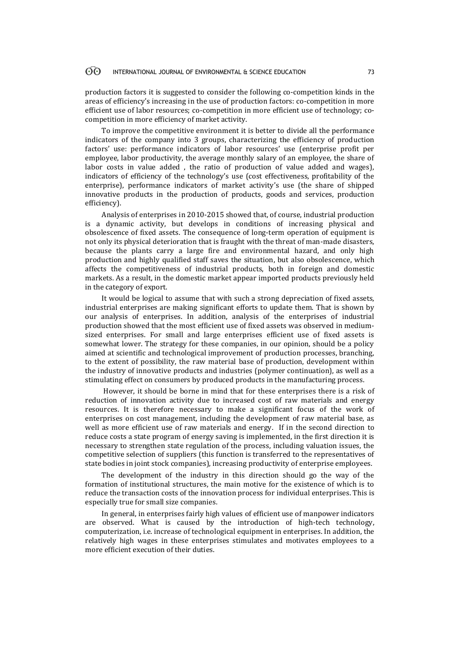#### 60 INTERNATIONAL JOURNAL OF ENVIRONMENTAL & SCIENCE EDUCATION 73

production factors it is suggested to consider the following co-competition kinds in the areas of efficiency's increasing in the use of production factors: co-competition in more efficient use of labor resources; co-competition in more efficient use of technology; cocompetition in more efficiency of market activity.

To improve the competitive environment it is better to divide all the performance indicators of the company into 3 groups, characterizing the efficiency of production factors' use: performance indicators of labor resources' use (enterprise profit per employee, labor productivity, the average monthly salary of an employee, the share of labor costs in value added , the ratio of production of value added and wages), indicators of efficiency of the technology's use (cost effectiveness, profitability of the enterprise), performance indicators of market activity's use (the share of shipped innovative products in the production of products, goods and services, production efficiency).

Analysis of enterprises in 2010-2015 showed that, of course, industrial production is a dynamic activity, but develops in conditions of increasing physical and obsolescence of fixed assets. The consequence of long-term operation of equipment is not only its physical deterioration that is fraught with the threat of man-made disasters, because the plants carry a large fire and environmental hazard, and only high production and highly qualified staff saves the situation, but also obsolescence, which affects the competitiveness of industrial products, both in foreign and domestic markets. As a result, in the domestic market appear imported products previously held in the category of export.

It would be logical to assume that with such a strong depreciation of fixed assets, industrial enterprises are making significant efforts to update them. That is shown by our analysis of enterprises. In addition, analysis of the enterprises of industrial production showed that the most efficient use of fixed assets was observed in mediumsized enterprises. For small and large enterprises efficient use of fixed assets is somewhat lower. The strategy for these companies, in our opinion, should be a policy aimed at scientific and technological improvement of production processes, branching, to the extent of possibility, the raw material base of production, development within the industry of innovative products and industries (polymer continuation), as well as a stimulating effect on consumers by produced products in the manufacturing process.

However, it should be borne in mind that for these enterprises there is a risk of reduction of innovation activity due to increased cost of raw materials and energy resources. It is therefore necessary to make a significant focus of the work of enterprises on cost management, including the development of raw material base, as well as more efficient use of raw materials and energy. If in the second direction to reduce costs a state program of energy saving is implemented, in the first direction it is necessary to strengthen state regulation of the process, including valuation issues, the competitive selection of suppliers (this function is transferred to the representatives of state bodies in joint stock companies), increasing productivity of enterprise employees.

The development of the industry in this direction should go the way of the formation of institutional structures, the main motive for the existence of which is to reduce the transaction costs of the innovation process for individual enterprises. This is especially true for small size companies.

In general, in enterprises fairly high values of efficient use of manpower indicators are observed. What is caused by the introduction of high-tech technology, computerization, i.e. increase of technological equipment in enterprises. In addition, the relatively high wages in these enterprises stimulates and motivates employees to a more efficient execution of their duties.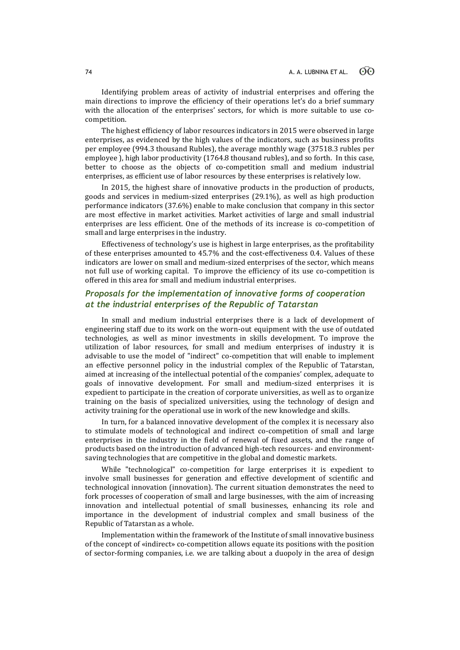Identifying problem areas of activity of industrial enterprises and offering the main directions to improve the efficiency of their operations let's do a brief summary with the allocation of the enterprises' sectors, for which is more suitable to use cocompetition.

The highest efficiency of labor resources indicators in 2015 were observed in large enterprises, as evidenced by the high values of the indicators, such as business profits per employee (994.3 thousand Rubles), the average monthly wage (37518.3 rubles per employee ), high labor productivity (1764.8 thousand rubles), and so forth. In this case, better to choose as the objects of co-competition small and medium industrial enterprises, as efficient use of labor resources by these enterprises is relatively low.

In 2015, the highest share of innovative products in the production of products, goods and services in medium-sized enterprises (29.1%), as well as high production performance indicators (37.6%) enable to make conclusion that company in this sector are most effective in market activities. Market activities of large and small industrial enterprises are less efficient. One of the methods of its increase is co-competition of small and large enterprises in the industry.

Effectiveness of technology's use is highest in large enterprises, as the profitability of these enterprises amounted to 45.7% and the cost-effectiveness 0.4. Values of these indicators are lower on small and medium-sized enterprises of the sector, which means not full use of working capital. To improve the efficiency of its use co-competition is offered in this area for small and medium industrial enterprises.

## *Proposals for the implementation of innovative forms of cooperation at the industrial enterprises of the Republic of Tatarstan*

In small and medium industrial enterprises there is a lack of development of engineering staff due to its work on the worn-out equipment with the use of outdated technologies, as well as minor investments in skills development. To improve the utilization of labor resources, for small and medium enterprises of industry it is advisable to use the model of "indirect" co-competition that will enable to implement an effective personnel policy in the industrial complex of the Republic of Tatarstan, aimed at increasing of the intellectual potential of the companies' complex, adequate to goals of innovative development. For small and medium-sized enterprises it is expedient to participate in the creation of corporate universities, as well as to organize training on the basis of specialized universities, using the technology of design and activity training for the operational use in work of the new knowledge and skills.

In turn, for a balanced innovative development of the complex it is necessary also to stimulate models of technological and indirect co-competition of small and large enterprises in the industry in the field of renewal of fixed assets, and the range of products based on the introduction of advanced high-tech resources- and environmentsaving technologies that are competitive in the global and domestic markets.

While "technological" co-competition for large enterprises it is expedient to involve small businesses for generation and effective development of scientific and technological innovation (innovation). The current situation demonstrates the need to fork processes of cooperation of small and large businesses, with the aim of increasing innovation and intellectual potential of small businesses, enhancing its role and importance in the development of industrial complex and small business of the Republic of Tatarstan as a whole.

Implementation within the framework of the Institute of small innovative business of the concept of «indirect» co-competition allows equate its positions with the position of sector-forming companies, i.e. we are talking about a duopoly in the area of design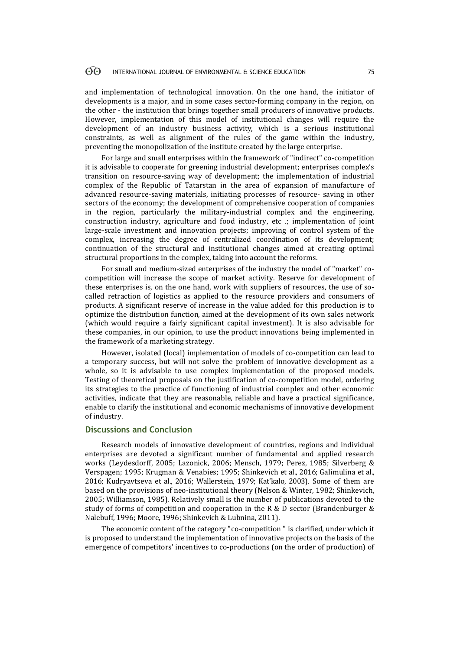#### 60 INTERNATIONAL JOURNAL OF ENVIRONMENTAL & SCIENCE EDUCATION 75

and implementation of technological innovation. On the one hand, the initiator of developments is a major, and in some cases sector-forming company in the region, on the other - the institution that brings together small producers of innovative products. However, implementation of this model of institutional changes will require the development of an industry business activity, which is a serious institutional constraints, as well as alignment of the rules of the game within the industry, preventing the monopolization of the institute created by the large enterprise.

For large and small enterprises within the framework of "indirect" co-competition it is advisable to cooperate for greening industrial development; enterprises complex's transition on resource-saving way of development; the implementation of industrial complex of the Republic of Tatarstan in the area of expansion of manufacture of advanced resource-saving materials, initiating processes of resource- saving in other sectors of the economy; the development of comprehensive cooperation of companies in the region, particularly the military-industrial complex and the engineering, construction industry, agriculture and food industry, etc .; implementation of joint large-scale investment and innovation projects; improving of control system of the complex, increasing the degree of centralized coordination of its development; continuation of the structural and institutional changes aimed at creating optimal structural proportions in the complex, taking into account the reforms.

For small and medium-sized enterprises of the industry the model of "market" cocompetition will increase the scope of market activity. Reserve for development of these enterprises is, on the one hand, work with suppliers of resources, the use of socalled retraction of logistics as applied to the resource providers and consumers of products. A significant reserve of increase in the value added for this production is to optimize the distribution function, aimed at the development of its own sales network (which would require a fairly significant capital investment). It is also advisable for these companies, in our opinion, to use the product innovations being implemented in the framework of a marketing strategy.

However, isolated (local) implementation of models of co-competition can lead to a temporary success, but will not solve the problem of innovative development as a whole, so it is advisable to use complex implementation of the proposed models. Testing of theoretical proposals on the justification of co-competition model, ordering its strategies to the practice of functioning of industrial complex and other economic activities, indicate that they are reasonable, reliable and have a practical significance, enable to clarify the institutional and economic mechanisms of innovative development of industry.

## **Discussions and Conclusion**

Research models of innovative development of countries, regions and individual enterprises are devoted a significant number of fundamental and applied research works (Leydesdorff, 2005; Lazonick, 2006; Mensch, 1979; Perez, 1985; Silverberg & Verspagen; 1995; Krugman & Venabies; 1995; Shinkevich et al., 2016; Galimulina et al., 2016; Kudryavtseva et al., 2016; Wallerstein, 1979; Kat'kalo, 2003). Some of them are based on the provisions of neo-institutional theory (Nelson & Winter, 1982; Shinkevich, 2005; Williamson, 1985). Relatively small is the number of publications devoted to the study of forms of competition and cooperation in the R & D sector (Brandenburger & Nalebuff, 1996; Moore, 1996; Shinkevich & Lubnina, 2011).

The economic content of the category "co-competition " is clarified, under which it is proposed to understand the implementation of innovative projects on the basis of the emergence of competitors' incentives to co-productions (on the order of production) of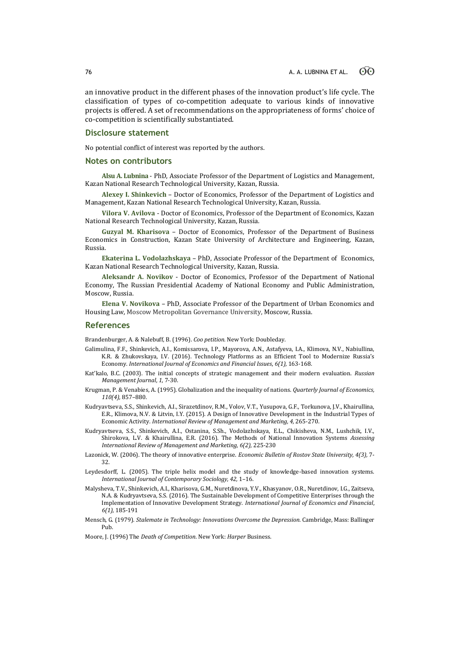an innovative product in the different phases of the innovation product's life cycle. The classification of types of co-competition adequate to various kinds of innovative projects is offered. A set of recommendations on the appropriateness of forms' choice of co-competition is scientifically substantiated.

### **Disclosure statement**

No potential conflict of interest was reported by the authors.

#### **Notes on contributors**

**Alsu A. Lubnina** - PhD, Associate Professor of the Department of Logistics and Management, Kazan National Research Technological University, Kazan, Russia.

**Alexey I. Shinkevich** – Doctor of Economics, Professor of the Department of Logistics and Management, Kazan National Research Technological University, Kazan, Russia.

**Vilora V. Avilova** - Doctor of Economics, Professor of the Department of Economics, Kazan National Research Technological University, Kazan, Russia.

**Guzyal M. Kharisova** – Doctor of Economics, Professor of the Department of Business Economics in Construction, Kazan State University of Architecture and Engineering, Kazan, Russia.

**Ekaterina L. Vodolazhskaya** – PhD, Associate Professor of the Department of Economics, Kazan National Research Technological University, Kazan, Russia.

**Aleksandr A. Novikov** - Doctor of Economics, Professor of the Department of National Economy, The Russian Presidential Academy of National Economy and Public Administration, Moscow, Russia.

**Elena V. Novikova** – PhD, Associate Professor of the Department of Urban Economics and Housing Law, Moscow Metropolitan Governance University, Moscow, Russia.

### **References**

Brandenburger, A. & Nalebuff, B. (1996). *Coo petition*. New York: Doubleday.

- Galimulina, F.F., Shinkevich, A.I., Komissarova, I.P., Mayorova, A.N., Astafyeva, I.A., Klimova, N.V., Nabiullina, K.R. & Zhukovskaya, I.V. (2016). Technology Platforms as an Efficient Tool to Modernize Russia's Economy*. International Journal of Economics and Financial Issues*, *6(1),* 163-168.
- Kat'kalo, B.C. (2003). The initial concepts of strategic management and their modern evaluation. *Russian Management Journal*, *1*, 7-30.
- Krugman, P. & Venabies, A. (1995). Globalization and the inequality of nations. *Quarterly Journal of Economics, 110(4),* 857–880.
- Kudryavtseva, S.S., Shinkevich, A.I., Sirazetdinov, R.M., Volov, V.T., Yusupova, G.F., Torkunova, J.V., Khairullina, E.R., Klimova, N.V. & Litvin, I.Y. (2015). A Design of Innovative Development in the Industrial Types of Economic Activity*. International Review of Management and Marketing, 4,* 265-270.
- Kudryavtseva, S.S., Shinkevich, A.I., Ostanina, S.Sh., Vodolazhskaya, E.L., Chikisheva, N.M., Lushchik, I.V., Shirokova, L.V. & Khairullina, E.R. (2016). The Methods of National Innovation Systems *Assessing International Review of Management and Marketing, 6(2),* 225-230
- Lazonick, W. (2006). The theory of innovative enterprise. *Economic Bulletin of Rostov State University, 4(3),* 7- 32.
- Leydesdorff, L. (2005). The triple helix model and the study of knowledge-based innovation systems. *International Journal of Contemporary Sociology, 42,* 1–16.
- Malysheva, T.V., Shinkevich, A.I., Kharisova, G.M., Nuretdinova, Y.V., Khasyanov, O.R., Nuretdinov, I.G., Zaitseva, N.A. & Kudryavtseva, S.S. (2016). The Sustainable Development of Competitive Enterprises through the Implementation of Innovative Development Strategy. *International Journal of Economics and Financial*, *6(1),* 185-191
- Mensch, G. (1979). *Stalemate in Technology: Innovations Overcome the Depression.* Cambridge, Mass: Ballinger Pub.